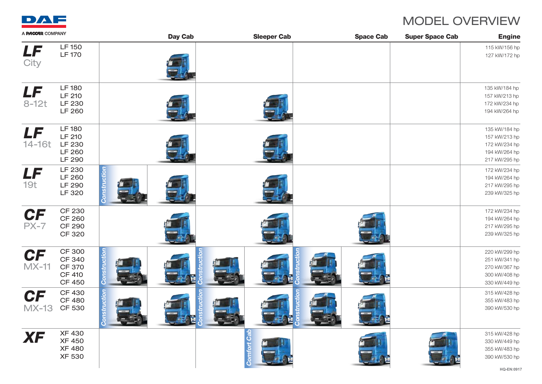

## MODEL OVERVIEW

| A <b>PACCAR</b> COMPANY   |                                                                                   | <b>Day Cab</b> |             | <b>Sleeper Cab</b> | <b>Space Cab</b> | <b>Super Space Cab</b> | <b>Engine</b>                                                                     |
|---------------------------|-----------------------------------------------------------------------------------|----------------|-------------|--------------------|------------------|------------------------|-----------------------------------------------------------------------------------|
| LF<br>City                | <b>LF150</b><br><b>LF 170</b>                                                     |                |             |                    |                  |                        | 115 kW/156 hp<br>127 kW/172 hp                                                    |
| LF<br>$8-12t$             | <b>LF180</b><br>LF 210<br>LF 230<br>LF 260                                        |                |             |                    |                  |                        | 135 kW/184 hp<br>157 kW/213 hp<br>172 kW/234 hp<br>194 kW/264 hp                  |
| LF<br>14-16t              | <b>LF180</b><br>LF 210<br>LF 230<br>LF 260<br>LF 290                              |                |             |                    |                  |                        | 135 kW/184 hp<br>157 kW/213 hp<br>172 kW/234 hp<br>194 kW/264 hp<br>217 kW/295 hp |
| LF<br>19t                 | LF 230<br>LF 260<br>LF 290<br>LF 320                                              |                |             |                    |                  |                        | 172 kW/234 hp<br>194 kW/264 hp<br>217 kW/295 hp<br>239 kW/325 hp                  |
| <b>CF</b><br>$PX-7$       | <b>CF 230</b><br><b>CF 260</b><br><b>CF 290</b><br><b>CF 320</b>                  |                |             |                    |                  |                        | 172 kW/234 hp<br>194 kW/264 hp<br>217 kW/295 hp<br>239 kW/325 hp                  |
| <b>CF</b><br>$MX-11$      | <b>CF 300</b><br><b>CF 340</b><br><b>CF 370</b><br><b>CF 410</b><br><b>CF 450</b> |                |             |                    |                  |                        | 220 kW/299 hp<br>251 kW/341 hp<br>270 kW/367 hp<br>300 kW/408 hp<br>330 kW/449 hp |
| <b>CF</b><br><b>MX-13</b> | <b>CF 430</b><br><b>CF 480</b><br>CF 530                                          |                |             |                    |                  |                        | 315 kW/428 hp<br>355 kW/483 hp<br>390 kW/530 hp                                   |
| <b>XF</b>                 | <b>XF 430</b><br><b>XF 450</b><br><b>XF 480</b><br><b>XF 530</b>                  |                | Comfort Cab |                    |                  |                        | 315 kW/428 hp<br>330 kW/449 hp<br>355 kW/483 hp<br>390 kW/530 hp                  |